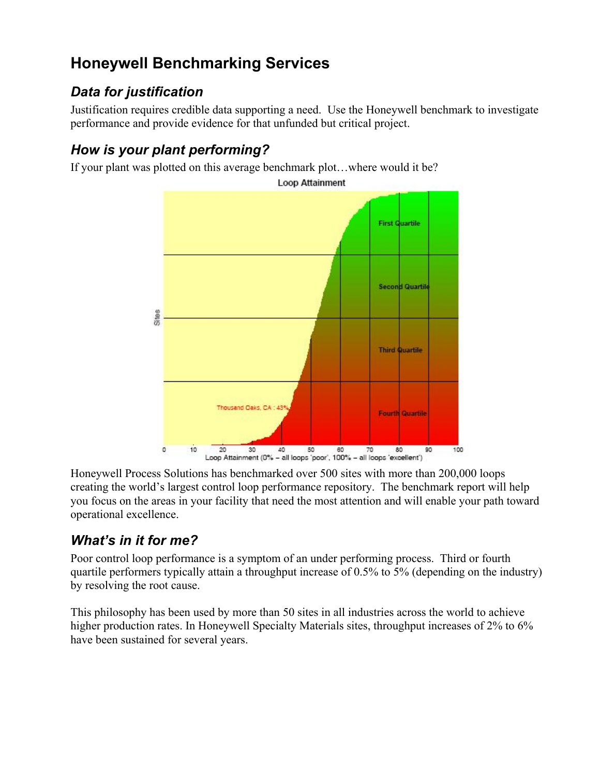# **Honeywell Benchmarking Services**

### *Data for justification*

Justification requires credible data supporting a need. Use the Honeywell benchmark to investigate performance and provide evidence for that unfunded but critical project.

## *How is your plant performing?*

If your plant was plotted on this average benchmark plot…where would it be?



Honeywell Process Solutions has benchmarked over 500 sites with more than 200,000 loops creating the world's largest control loop performance repository. The benchmark report will help you focus on the areas in your facility that need the most attention and will enable your path toward operational excellence.

### *What's in it for me?*

Poor control loop performance is a symptom of an under performing process. Third or fourth quartile performers typically attain a throughput increase of 0.5% to 5% (depending on the industry) by resolving the root cause.

This philosophy has been used by more than 50 sites in all industries across the world to achieve higher production rates. In Honeywell Specialty Materials sites, throughput increases of 2% to 6% have been sustained for several years.